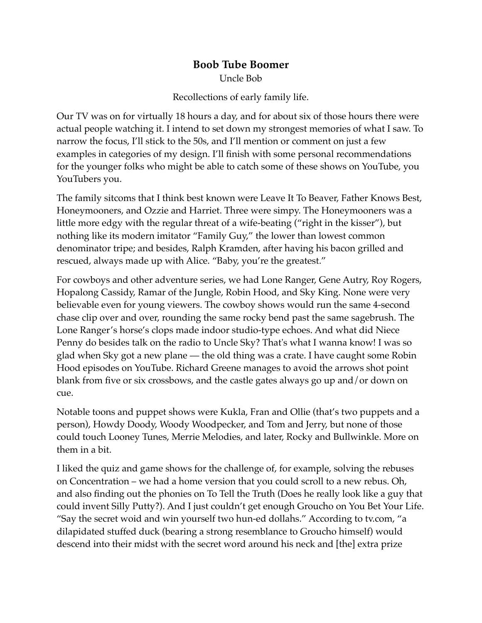## **Boob Tube Boomer** Uncle Bob

Recollections of early family life.

Our TV was on for virtually 18 hours a day, and for about six of those hours there were actual people watching it. I intend to set down my strongest memories of what I saw. To narrow the focus, I'll stick to the 50s, and I'll mention or comment on just a few examples in categories of my design. I'll finish with some personal recommendations for the younger folks who might be able to catch some of these shows on YouTube, you YouTubers you.

The family sitcoms that I think best known were Leave It To Beaver, Father Knows Best, Honeymooners, and Ozzie and Harriet. Three were simpy. The Honeymooners was a little more edgy with the regular threat of a wife-beating ("right in the kisser"), but nothing like its modern imitator "Family Guy," the lower than lowest common denominator tripe; and besides, Ralph Kramden, after having his bacon grilled and rescued, always made up with Alice. "Baby, you're the greatest."

For cowboys and other adventure series, we had Lone Ranger, Gene Autry, Roy Rogers, Hopalong Cassidy, Ramar of the Jungle, Robin Hood, and Sky King. None were very believable even for young viewers. The cowboy shows would run the same 4-second chase clip over and over, rounding the same rocky bend past the same sagebrush. The Lone Ranger's horse's clops made indoor studio-type echoes. And what did Niece Penny do besides talk on the radio to Uncle Sky? That's what I wanna know! I was so glad when Sky got a new plane — the old thing was a crate. I have caught some Robin Hood episodes on YouTube. Richard Greene manages to avoid the arrows shot point blank from five or six crossbows, and the castle gates always go up and/or down on cue.

Notable toons and puppet shows were Kukla, Fran and Ollie (that's two puppets and a person), Howdy Doody, Woody Woodpecker, and Tom and Jerry, but none of those could touch Looney Tunes, Merrie Melodies, and later, Rocky and Bullwinkle. More on them in a bit.

I liked the quiz and game shows for the challenge of, for example, solving the rebuses on Concentration – we had a home version that you could scroll to a new rebus. Oh, and also finding out the phonies on To Tell the Truth (Does he really look like a guy that could invent Silly Putty?). And I just couldn't get enough Groucho on You Bet Your Life. "Say the secret woid and win yourself two hun-ed dollahs." According to tv.com, "a dilapidated stuffed duck (bearing a strong resemblance to Groucho himself) would descend into their midst with the secret word around his neck and [the] extra prize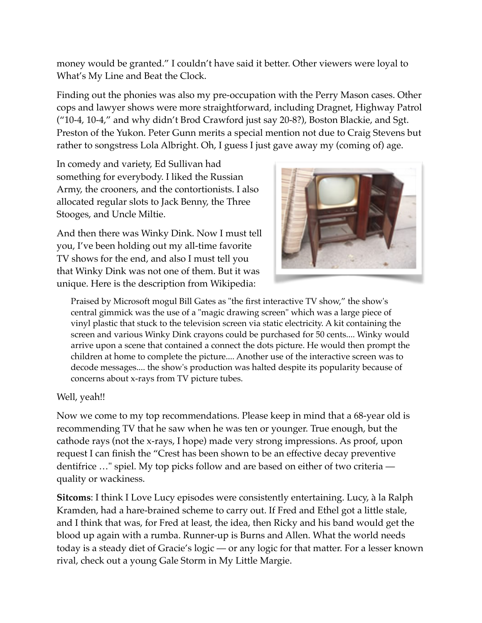money would be granted." I couldn't have said it better. Other viewers were loyal to What's My Line and Beat the Clock.

Finding out the phonies was also my pre-occupation with the Perry Mason cases. Other cops and lawyer shows were more straightforward, including Dragnet, Highway Patrol ("10-4, 10-4," and why didn't Brod Crawford just say 20-8?), Boston Blackie, and Sgt. Preston of the Yukon. Peter Gunn merits a special mention not due to Craig Stevens but rather to songstress Lola Albright. Oh, I guess I just gave away my (coming of) age.

In comedy and variety, Ed Sullivan had something for everybody. I liked the Russian Army, the crooners, and the contortionists. I also allocated regular slots to Jack Benny, the Three Stooges, and Uncle Miltie.

And then there was Winky Dink. Now I must tell you, I've been holding out my all-time favorite TV shows for the end, and also I must tell you that Winky Dink was not one of them. But it was unique. Here is the description from Wikipedia:



Praised by Microsoft mogul Bill Gates as "the first interactive TV show," the show's central gimmick was the use of a "magic drawing screen" which was a large piece of vinyl plastic that stuck to the television screen via static electricity. A kit containing the screen and various Winky Dink crayons could be purchased for 50 cents.... Winky would arrive upon a scene that contained a connect the dots picture. He would then prompt the children at home to complete the picture.... Another use of the interactive screen was to decode messages.... the show's production was halted despite its popularity because of concerns about x-rays from TV picture tubes.

Well, yeah!!

Now we come to my top recommendations. Please keep in mind that a 68-year old is recommending TV that he saw when he was ten or younger. True enough, but the cathode rays (not the x-rays, I hope) made very strong impressions. As proof, upon request I can finish the "Crest has been shown to be an effective decay preventive dentifrice …" spiel. My top picks follow and are based on either of two criteria quality or wackiness.

**Sitcoms**: I think I Love Lucy episodes were consistently entertaining. Lucy, à la Ralph Kramden, had a hare-brained scheme to carry out. If Fred and Ethel got a little stale, and I think that was, for Fred at least, the idea, then Ricky and his band would get the blood up again with a rumba. Runner-up is Burns and Allen. What the world needs today is a steady diet of Gracie's logic — or any logic for that matter. For a lesser known rival, check out a young Gale Storm in My Little Margie.